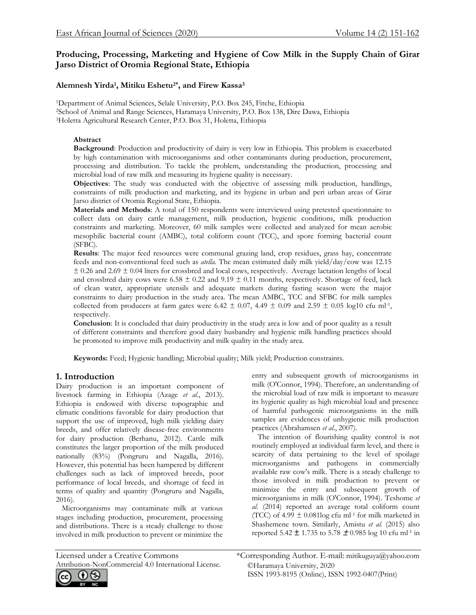# **Producing, Processing, Marketing and Hygiene of Cow Milk in the Supply Chain of Girar Jarso District of Oromia Regional State, Ethiopia**

# **Alemnesh Yirda<sup>1</sup> , Mitiku Eshetu2\*, and Firew Kassa<sup>3</sup>**

<sup>1</sup>Department of Animal Sciences, Selale University, P.O. Box 245, Fitche, Ethiopia <sup>2</sup>School of Animal and Range Sciences, Haramaya University, P.O. Box 138, Dire Dawa, Ethiopia <sup>3</sup>Holetta Agricultural Research Center, P.O. Box 31, Holetta, Ethiopia

## **Abstract**

**Background**: Production and productivity of dairy is very low in Ethiopia. This problem is exacerbated by high contamination with microorganisms and other contaminants during production, procurement, processing and distribution. To tackle the problem, understanding the production, processing and microbial load of raw milk and measuring its hygiene quality is necessary.

**Objectives**: The study was conducted with the objective of assessing milk production, handlings, constraints of milk production and marketing, and its hygiene in urban and peri urban areas of Girar Jarso district of Oromia Regional State, Ethiopia.

**Materials and Methods**: A total of 150 respondents were interviewed using pretested questionnaire to collect data on dairy cattle management, milk production, hygienic conditions, milk production constraints and marketing. Moreover, 60 milk samples were collected and analyzed for mean aerobic mesophilic bacterial count (AMBC), total coliform count (TCC), and spore forming bacterial count (SFBC).

**Results**: The major feed resources were communal grazing land, crop residues, grass hay, concentrate feeds and non-conventional feed such as *atella.* The mean estimated daily milk yield/day/cow was 12.15  $\pm$  0.26 and 2.69  $\pm$  0.04 liters for crossbred and local cows, respectively. Average lactation lengths of local and crossbred dairy cows were 6.58  $\pm$  0.22 and 9.19  $\pm$  0.11 months, respectively. Shortage of feed, lack of clean water, appropriate utensils and adequate markets during fasting season were the major constraints to dairy production in the study area. The mean AMBC, TCC and SFBC for milk samples collected from producers at farm gates were 6.42  $\pm$  0.07, 4.49  $\pm$  0.09 and 2.59  $\pm$  0.05 log10 cfu ml<sup>-1</sup>, respectively.

**Conclusion**: It is concluded that dairy productivity in the study area is low and of poor quality as a result of different constraints and therefore good dairy husbandry and hygienic milk handling practices should be promoted to improve milk productivity and milk quality in the study area.

**Keywords:** Feed; Hygienic handling; Microbial quality; Milk yield; Production constraints.

# **1. Introduction**

Dairy production is an important component of livestock farming in Ethiopia (Azage *et al*., 2013). Ethiopia is endowed with diverse topographic and climatic conditions favorable for dairy production that support the use of improved, high milk yielding dairy breeds, and offer relatively disease-free environments for dairy production (Berhanu, 2012). Cattle milk constitutes the larger proportion of the milk produced nationally (83%) (Pongruru and Nagalla, 2016). However, this potential has been hampered by different challenges such as lack of improved breeds, poor performance of local breeds, and shortage of feed in terms of quality and quantity (Pongruru and Nagalla, 2016).

 Microorganisms may contaminate milk at various stages including production, procurement, processing and distributions. There is a steady challenge to those involved in milk production to prevent or minimize the entry and subsequent growth of microorganisms in milk (O'Connor, 1994). Therefore, an understanding of the microbial load of raw milk is important to measure its hygienic quality as high microbial load and presence of harmful pathogenic microorganisms in the milk samples are evidences of unhygienic milk production practices (Abrahamsen *et al*., 2007).

 The intention of flourishing quality control is not routinely employed at individual farm level, and there is scarcity of data pertaining to the level of spoilage microorganisms and pathogens in commercially available raw cow's milk. There is a steady challenge to those involved in milk production to prevent or minimize the entry and subsequent growth of microorganisms in milk (O'Connor, 1994). Teshome *et al*. (2014) reported an average total coliform count (TCC) of 4.99  $\pm$  0.081log cfu ml<sup>-1</sup> for milk marketed in Shashemene town. Similarly, Amistu *et al.* (2015) also reported 5.42 **±** 1.735 to 5.78 **±** 0.985 log 10 cfu ml-1 in

Attribution-NonCommercial 4.0 International License.



©Haramaya University, 2020 ISSN 1993-8195 (Online), ISSN 1992-0407(Print) Licensed under a Creative Commons \*Corresponding Author. E-mail: mitikuguya@yahoo.com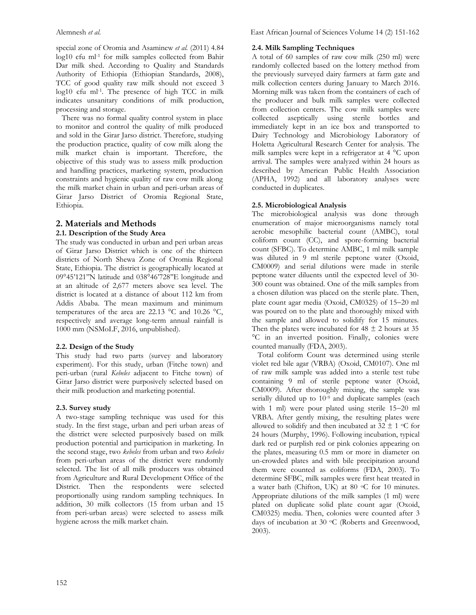special zone of Oromia and Asaminew *et al.* (2011) 4.84 log10 cfu ml-1 for milk samples collected from Bahir Dar milk shed. According to Quality and Standards Authority of Ethiopia (Ethiopian Standards, 2008), TCC of good quality raw milk should not exceed 3 log10 cfu ml-1 . The presence of high TCC in milk indicates unsanitary conditions of milk production, processing and storage.

 There was no formal quality control system in place to monitor and control the quality of milk produced and sold in the Girar Jarso district. Therefore, studying the production practice, quality of cow milk along the milk market chain is important. Therefore, the objective of this study was to assess milk production and handling practices, marketing system, production constraints and hygienic quality of raw cow milk along the milk market chain in urban and peri-urban areas of Girar Jarso District of Oromia Regional State, Ethiopia.

# **2. Materials and Methods**

## **2.1. Description of the Study Area**

The study was conducted in urban and peri urban areas of Girar Jarso District which is one of the thirteen districts of North Shewa Zone of Oromia Regional State, Ethiopia. The district is geographically located at 09°45'121''N latitude and 038°46'728''E longitude and at an altitude of 2,677 meters above sea level. The district is located at a distance of about 112 km from Addis Ababa. The mean maximum and minimum temperatures of the area are 22.13 °C and 10.26 °C, respectively and average long-term annual rainfall is 1000 mm (NSMoLF, 2016, unpublished).

## **2.2. Design of the Study**

This study had two parts (survey and laboratory experiment). For this study, urban (Fitche town) and peri-urban (rural *Kebeles* adjacent to Fitche town) of Girar Jarso district were purposively selected based on their milk production and marketing potential.

## **2.3. Survey study**

A two-stage sampling technique was used for this study. In the first stage, urban and peri urban areas of the district were selected purposively based on milk production potential and participation in marketing. In the second stage, two *kebeles* from urban and two *kebeles* from peri-urban areas of the district were randomly selected. The list of all milk producers was obtained from Agriculture and Rural Development Office of the District. Then the respondents were selected proportionally using random sampling techniques. In addition, 30 milk collectors (15 from urban and 15 from peri-urban areas) were selected to assess milk hygiene across the milk market chain.

# **2.4. Milk Sampling Techniques**

A total of 60 samples of raw cow milk (250 ml) were randomly collected based on the lottery method from the previously surveyed dairy farmers at farm gate and milk collection centers during January to March 2016. Morning milk was taken from the containers of each of the producer and bulk milk samples were collected from collection centers. The cow milk samples were collected aseptically using sterile bottles and immediately kept in an ice box and transported to Dairy Technology and Microbiology Laboratory of Holetta Agricultural Research Center for analysis. The milk samples were kept in a refrigerator at 4 °C upon arrival. The samples were analyzed within 24 hours as described by American Public Health Association (APHA, 1992) and all laboratory analyses were conducted in duplicates.

# **2.5. Microbiological Analysis**

The microbiological analysis was done through enumeration of major microorganisms namely total aerobic mesophilic bacterial count (AMBC), total coliform count (CC), and spore-forming bacterial count (SFBC). To determine AMBC, 1 ml milk sample was diluted in 9 ml sterile peptone water (Oxoid, CM0009) and serial dilutions were made in sterile peptone water diluents until the expected level of 30- 300 count was obtained. One of the milk samples from a chosen dilution was placed on the sterile plate. Then, plate count agar media (Oxoid, CM0325) of 15−20 ml was poured on to the plate and thoroughly mixed with the sample and allowed to solidify for 15 minutes. Then the plates were incubated for  $48 \pm 2$  hours at 35 °C in an inverted position. Finally, colonies were counted manually (FDA, 2003).

 Total coliform Count was determined using sterile violet red bile agar (VRBA) (Oxoid, CM0107). One ml of raw milk sample was added into a sterile test tube containing 9 ml of sterile peptone water (Oxoid, CM0009). After thoroughly mixing, the sample was serially diluted up to 10<sup>-9</sup> and duplicate samples (each with 1 ml) were pour plated using sterile 15−20 ml VRBA. After gently mixing, the resulting plates were allowed to solidify and then incubated at  $32 \pm 1$  °C for 24 hours (Murphy, 1996). Following incubation, typical dark red or purplish red or pink colonies appearing on the plates, measuring 0.5 mm or more in diameter on un-crowded plates and with bile precipitation around them were counted as coliforms (FDA, 2003). To determine SFBC, milk samples were first heat treated in a water bath (Chifton, UK) at 80  $\,^{\circ}$ C for 10 minutes. Appropriate dilutions of the milk samples (1 ml) were plated on duplicate solid plate count agar (Oxoid, CM0325) media. Then, colonies were counted after 3 days of incubation at 30 °C (Roberts and Greenwood, 2003).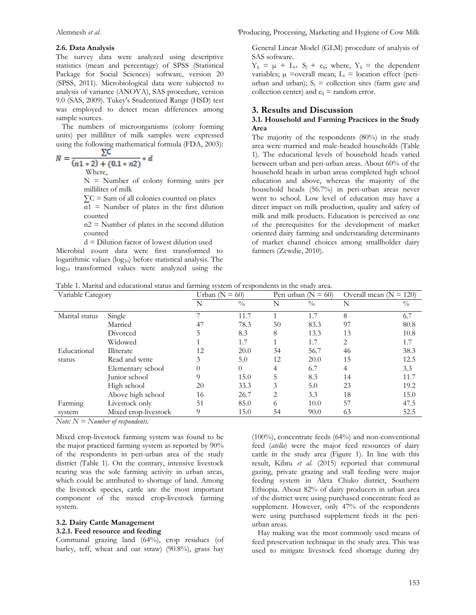#### **2.6. Data Analysis**

The survey data were analyzed using descriptive statistics (mean and percentage) of SPSS (Statistical Package for Social Sciences) software, version 20 (SPSS, 2011). Microbiological data were subjected to analysis of variance (ANOVA), SAS procedure, version 9.0 (SAS, 2009). Tukey's Studentized Range (HSD) test was employed to detect mean differences among sample sources.

 The numbers of microorganisms (colony forming units) per milliliter of milk samples were expressed using the following mathematical formula (FDA, 2003):<br> $N =$ 

 $N = \frac{2^{c}}{(n1 * 2) + (0.1 * n2)} * d$ 

Where,

N = Number of colony forming units per milliliter of milk

 $\Sigma$ C = Sum of all colonies counted on plates

 $n1 =$  Number of plates in the first dilution counted

 $n2$  = Number of plates in the second dilution counted

d = Dilution factor of lowest dilution used

Microbial count data were first transformed to logarithmic values (log<sub>10</sub>) before statistical analysis. The log10 transformed values were analyzed using the

Alemnesh *et al*. *'*Producing, Processing, Marketing and Hygiene of Cow Milk

General Linear Model (GLM) procedure of analysis of SAS software.

 $Y_{ij} = \mu + L_{i+} S_j + e_{ij}$ ; where,  $Y_{ij} =$  the dependent variables;  $\mu$  =overall mean;  $L_i$  = location effect (periurban and urban);  $S_i$  = collection sites (farm gate and collection center) and  $e_{ii}$  = random error.

#### **3. Results and Discussion**

#### **3.1. Household and Farming Practices in the Study Area**

The majority of the respondents (80%) in the study area were married and male-headed households (Table 1). The educational levels of household heads varied between urban and peri-urban areas. About 60% of the household heads in urban areas completed high school education and above, whereas the majority of the household heads (56.7%) in peri-urban areas never went to school. Low level of education may have a direct impact on milk production, quality and safety of milk and milk products. Education is perceived as one of the prerequisites for the development of market oriented dairy farming and understanding determinants of market channel choices among smallholder dairy farmers (Zewdie, 2010).

|  | Table 1. Marital and educational status and farming system of respondents in the study area. |  |  |  |  |  |
|--|----------------------------------------------------------------------------------------------|--|--|--|--|--|
|  |                                                                                              |  |  |  |  |  |

| Variable Category |                      | Urban ( $N = 60$ ) |               |    | Peri urban ( $N = 60$ ) | Overall mean $(N = 120)$ |               |
|-------------------|----------------------|--------------------|---------------|----|-------------------------|--------------------------|---------------|
|                   |                      | N                  | $\frac{0}{0}$ | N  | $\frac{0}{0}$           | N                        | $\frac{0}{0}$ |
| Marital status    | Single               |                    | 11.7          |    | 1.7                     | 8                        | 6.7           |
|                   | Married              | 47                 | 78.3          | 50 | 83.3                    | 97                       | 80.8          |
|                   | Divorced             |                    | 8.3           | 8  | 13.3                    | 13                       | 10.8          |
|                   | Widowed              |                    | 1.7           |    | 1.7                     | 2                        | 1.7           |
| Educational       | Illiterate           | 12                 | 20.0          | 34 | 56.7                    | 46                       | 38.3          |
| status            | Read and write       |                    | 5.0           | 12 | 20.0                    | 15                       | 12.5          |
|                   | Elementary school    |                    | $\Omega$      | 4  | 6.7                     | 4                        | 3.3           |
|                   | Junior school        |                    | 15.0          | 5  | 8.3                     | 14                       | 11.7          |
|                   | High school          | 20                 | 33.3          | 3  | 5.0                     | 23                       | 19.2          |
|                   | Above high school    | 16                 | 26.7          | 2  | 3.3                     | 18                       | 15.0          |
| Farming           | Livestock only       | 51                 | 85.0          | 6  | 10.0                    | 57                       | 47.5          |
| system            | Mixed crop-livestock | 9                  | 15.0          | 54 | 90.0                    | 63                       | 52.5          |

*Note: N = Number of respondents.*

Mixed crop-livestock farming system was found to be the major practiced farming system as reported by 90% of the respondents in peri-urban area of the study district (Table 1). On the contrary, intensive livestock rearing was the sole farming activity in urban areas, which could be attributed to shortage of land. Among the livestock species, cattle are the most important component of the mixed crop-livestock farming system.

#### **3.2. Dairy Cattle Management 3.2.1. Feed resource and feeding**

Communal grazing land (64%), crop residues (of barley, teff, wheat and oat straw) (90.8%), grass hay (100%), concentrate feeds (64%) and non-conventional feed (*atella*) were the major feed resources of dairy cattle in the study area (Figure 1). In line with this result, Kibru *et al*. (2015) reported that communal gazing, private grazing and stall feeding were major feeding system in Aleta Chuko district, Southern Ethiopia. About 82% of dairy producers in urban area of the district were using purchased concentrate feed as supplement. However, only 47% of the respondents were using purchased supplement feeds in the periurban areas.

 Hay making was the most commonly used means of feed preservation technique in the study area. This was used to mitigate livestock feed shortage during dry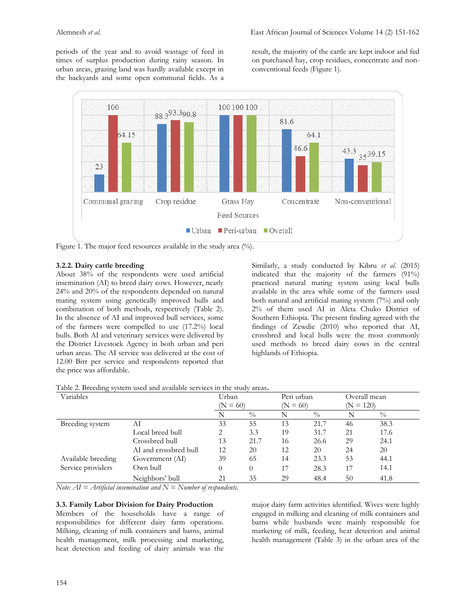periods of the year and to avoid wastage of feed in times of surplus production during rainy season. In urban areas, grazing land was hardly available except in the backyards and some open communal fields. As a result, the majority of the cattle are kept indoor and fed on purchased hay, crop residues, concentrate and nonconventional feeds (Figure 1).



Figure 1. The major feed resources available in the study area (%).

## **3.2.2. Dairy cattle breeding**

About 38% of the respondents were used artificial insemination (AI) to breed dairy cows. However, nearly 24% and 20% of the respondents depended on natural mating system using genetically improved bulls and combination of both methods, respectively (Table 2). In the absence of AI and improved bull services, some of the farmers were compelled to use (17.2%) local bulls. Both AI and veterinary services were delivered by the District Livestock Agency in both urban and peri urban areas. The AI service was delivered at the cost of 12.00 Birr per service and respondents reported that the price was affordable.

Similarly, a study conducted by Kibru *et al*. (2015) indicated that the majority of the farmers (91%) practiced natural mating system using local bulls available in the area while some of the farmers used both natural and artificial mating system (7%) and only 2% of them used AI in Aleta Chuko District of Southern Ethiopia. The present finding agreed with the findings of Zewdie (2010) who reported that AI, crossbred and local bulls were the most commonly used methods to breed dairy cows in the central highlands of Ethiopia.

| Table 2. Breeding system used and available services in the study areas. |  |  |  |
|--------------------------------------------------------------------------|--|--|--|
|                                                                          |  |  |  |

| Variables          |                       | Peri urban<br>Urban |               |    | Overall mean            |    |               |
|--------------------|-----------------------|---------------------|---------------|----|-------------------------|----|---------------|
|                    |                       | $(N = 60)$          |               |    | $(N = 120)$<br>$N = 60$ |    |               |
|                    |                       |                     | $\frac{0}{0}$ |    | $\frac{0}{0}$           |    | $\frac{0}{0}$ |
| Breeding system    | AI                    | 33                  | 55            | 13 | 21.7                    | 46 | 38.3          |
|                    | Local breed bull      | 2                   | 3.3           | 19 | 31.7                    | 21 | 17.6          |
|                    | Crossbred bull        | 13                  | 21.7          | 16 | 26.6                    | 29 | 24.1          |
|                    | AI and crossbred bull | 12                  | 20            | 12 | 20                      | 24 | 20            |
| Available breeding | Government (AI)       | 39                  | 65            | 14 | 23.3                    | 53 | 44.1          |
| Service providers  | Own bull              | 0                   | $\Omega$      | 17 | 28.3                    | 17 | 14.1          |
|                    | Neighbors' bull       | 21                  | 35            | 29 | 48.4                    | 50 | 41.8          |

*Note: AI = Artificial insemination and N = Number of respondents.*

## **3.3. Family Labor Division for Dairy Production**

Members of the households have a range of responsibilities for different dairy farm operations. Milking, cleaning of milk containers and barns, animal health management, milk processing and marketing, heat detection and feeding of dairy animals was the major dairy farm activities identified. Wives were highly engaged in milking and cleaning of milk containers and barns while husbands were mainly responsible for marketing of milk, feeding, heat detection and animal health management (Table 3) in the urban area of the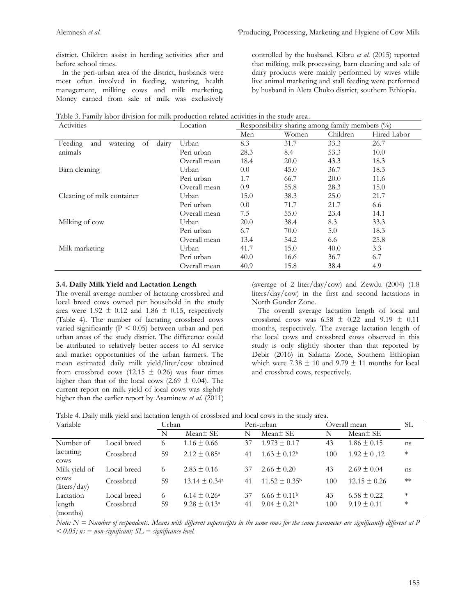district. Children assist in herding activities after and before school times.

 In the peri-urban area of the district, husbands were most often involved in feeding, watering, health management, milking cows and milk marketing. Money earned from sale of milk was exclusively

controlled by the husband. Kibru *et al*. (2015) reported that milking, milk processing, barn cleaning and sale of dairy products were mainly performed by wives while live animal marketing and stall feeding were performed by husband in Aleta Chuko district, southern Ethiopia.

| Table 3. Family labor division for milk production related activities in the study area. |  |  |  |  |
|------------------------------------------------------------------------------------------|--|--|--|--|
|------------------------------------------------------------------------------------------|--|--|--|--|

| Activities                                | Location     | Responsibility sharing among family members $(\%)$ |       |          |             |  |  |
|-------------------------------------------|--------------|----------------------------------------------------|-------|----------|-------------|--|--|
|                                           |              | Men                                                | Women | Children | Hired Labor |  |  |
| watering<br>Feeding<br>of<br>dairy<br>and | Urban        | 8.3                                                | 31.7  | 33.3     | 26.7        |  |  |
| animals                                   | Peri urban   | 28.3                                               | 8.4   | 53.3     | 10.0        |  |  |
|                                           | Overall mean | 18.4                                               | 20.0  | 43.3     | 18.3        |  |  |
| Barn cleaning                             | Urban        | 0.0                                                | 45.0  | 36.7     | 18.3        |  |  |
|                                           | Peri urban   | 1.7                                                | 66.7  | 20.0     | 11.6        |  |  |
|                                           | Overall mean | 0.9                                                | 55.8  | 28.3     | 15.0        |  |  |
| Cleaning of milk container                | Urban        | 15.0                                               | 38.3  | 25.0     | 21.7        |  |  |
|                                           | Peri urban   | 0.0                                                | 71.7  | 21.7     | 6.6         |  |  |
|                                           | Overall mean | 7.5                                                | 55.0  | 23.4     | 14.1        |  |  |
| Milking of cow                            | Urban        | 20.0                                               | 38.4  | 8.3      | 33.3        |  |  |
|                                           | Peri urban   | 6.7                                                | 70.0  | 5.0      | 18.3        |  |  |
|                                           | Overall mean | 13.4                                               | 54.2  | 6.6      | 25.8        |  |  |
| Milk marketing                            | Urban        | 41.7                                               | 15.0  | 40.0     | 3.3         |  |  |
|                                           | Peri urban   | 40.0                                               | 16.6  | 36.7     | 6.7         |  |  |
|                                           | Overall mean | 40.9                                               | 15.8  | 38.4     | 4.9         |  |  |

#### **3.4. Daily Milk Yield and Lactation Length**

The overall average number of lactating crossbred and local breed cows owned per household in the study area were  $1.92 \pm 0.12$  and  $1.86 \pm 0.15$ , respectively (Table 4). The number of lactating crossbred cows varied significantly (P < 0.05) between urban and peri urban areas of the study district. The difference could be attributed to relatively better access to AI service and market opportunities of the urban farmers. The mean estimated daily milk yield/liter/cow obtained from crossbred cows (12.15  $\pm$  0.26) was four times higher than that of the local cows (2.69  $\pm$  0.04). The current report on milk yield of local cows was slightly higher than the earlier report by Asaminew *et al.* (2011)

(average of 2 liter/day/cow) and Zewdu  $(2004)$   $(1.8)$ liters/day/cow) in the first and second lactations in North Gonder Zone.

 The overall average lactation length of local and crossbred cows was  $6.58 \pm 0.22$  and  $9.19 \pm 0.11$ months, respectively. The average lactation length of the local cows and crossbred cows observed in this study is only slightly shorter than that reported by Debir (2016) in Sidama Zone, Southern Ethiopian which were 7.38  $\pm$  10 and 9.79  $\pm$  11 months for local and crossbred cows, respectively.

| Table 4. Daily milk yield and lactation length of crossbred and local cows in the study area. |  |  |
|-----------------------------------------------------------------------------------------------|--|--|
|                                                                                               |  |  |

|                      | $\mu$ , and moments in the state of the state is the computer of $\mu$ . The state $\mu$ |       |                          |    |                              |     |                      |            |  |  |  |
|----------------------|------------------------------------------------------------------------------------------|-------|--------------------------|----|------------------------------|-----|----------------------|------------|--|--|--|
| Variable             |                                                                                          | Urban |                          |    | Peri-urban                   |     | Overall mean         | SL         |  |  |  |
|                      |                                                                                          | N     | Mean <sup>+</sup> SE     | N  | Mean <sup>+</sup> SE         | N   | Mean <sup>+</sup> SE |            |  |  |  |
| Number of            | Local breed                                                                              | 6     | $1.16 \pm 0.66$          | 37 | $1.973 \pm 0.17$             | 43  | $1.86 \pm 0.15$      | ns         |  |  |  |
| lactating<br>cows    | Crossbred                                                                                | 59    | $2.12 \pm 0.85^{\circ}$  | 41 | $1.63 \pm 0.12^{\rm b}$      | 100 | $1.92 \pm 0.12$      | $\ast$     |  |  |  |
| Milk yield of        | Local breed                                                                              | 6     | $2.83 \pm 0.16$          | 37 | $2.66 \pm 0.20$              | 43  | $2.69 \pm 0.04$      | ns         |  |  |  |
| cows<br>(liters/day) | Crossbred                                                                                | 59    | $13.14 \pm 0.34^{\circ}$ | 41 | $11.52 \pm 0.35^{\circ}$     | 100 | $12.15 \pm 0.26$     | $\ast\ast$ |  |  |  |
| Lactation            | Local breed                                                                              | 6     | $6.14 \pm 0.26^{\circ}$  | 37 | $6.66 \pm 0.11$ <sup>b</sup> | 43  | $6.58 \pm 0.22$      | $\ast$     |  |  |  |
| length<br>(months)   | Crossbred                                                                                | 59    | $9.28 \pm 0.13^{\circ}$  | 41 | $9.04 \pm 0.21$              | 100 | $9.19 \pm 0.11$      | $\ast$     |  |  |  |

 $Note: N = Number of respondents. Means with different suberscripts in the same rows for the same parameter are significantly different at P$  $\langle 0.05; n_s =$  non-significant;  $SL =$  significance level.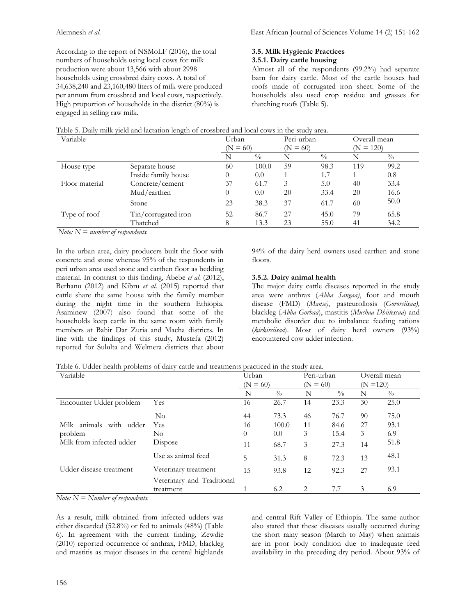According to the report of NSMoLF (2016), the total numbers of households using local cows for milk production were about 13,566 with about 2998 households using crossbred dairy cows. A total of 34,638,240 and 23,160,480 liters of milk were produced per annum from crossbred and local cows, respectively. High proportion of households in the district (80%) is engaged in selling raw milk.

# **3.5. Milk Hygienic Practices**

# **3.5.1. Dairy cattle housing**

Almost all of the respondents (99.2%) had separate barn for dairy cattle. Most of the cattle houses had roofs made of corrugated iron sheet. Some of the households also used crop residue and grasses for thatching roofs (Table 5).

| Table 5. Daily milk yield and lactation length of crossbred and local cows in the study area. |  |
|-----------------------------------------------------------------------------------------------|--|
|-----------------------------------------------------------------------------------------------|--|

| Variable       |                     |            | Urban         |            | Peri-urban    |             | Overall mean |  |
|----------------|---------------------|------------|---------------|------------|---------------|-------------|--------------|--|
|                |                     | $(N = 60)$ |               | $(N = 60)$ |               | $(N = 120)$ |              |  |
|                |                     | N          | $\frac{0}{0}$ | N          | $\frac{0}{0}$ | Ν           | $^{0}/_{0}$  |  |
| House type     | Separate house      | 60         | 100.0         | 59         | 98.3          | 119         | 99.2         |  |
|                | Inside family house | $\Omega$   | 0.0           |            | 1.7           |             | 0.8          |  |
| Floor material | Concrete/cement     | 37         | 61.7          | 3          | 5.0           | 40          | 33.4         |  |
|                | Mud/earthen         | 0          | 0.0           | 20         | 33.4          | 20          | 16.6         |  |
|                | Stone               | 23         | 38.3          | 37         | 61.7          | 60          | 50.0         |  |
| Type of roof   | Tin/corrugated iron | 52         | 86.7          | 27         | 45.0          | 79          | 65.8         |  |
|                | Thatched            |            | 13.3          | 23         | 55.0          | 41          | 34.2         |  |

*Note: N = number of respondents.*

In the urban area, dairy producers built the floor with concrete and stone whereas 95% of the respondents in peri urban area used stone and earthen floor as bedding material. In contrast to this finding, Abebe *et al*. (2012), Berhanu (2012) and Kibru *et al*. (2015) reported that cattle share the same house with the family member during the night time in the southern Ethiopia. Asaminew (2007) also found that some of the households keep cattle in the same room with family members at Bahir Dar Zuria and Macha districts. In line with the findings of this study, Mustefa (2012) reported for Sululta and Welmera districts that about 94% of the dairy herd owners used earthen and stone floors.

## **3.5.2. Dairy animal health**

The major dairy cattle diseases reported in the study area were anthrax (*Abba Sangaa)*, foot and mouth disease (FMD) (*Manse)*, pasteurollosis (*Gororsiisaa),* blackleg (*Abba Gorbaa*), mastitis (*Muchaa Dhiitessaa*) and metabolic disorder due to imbalance feeding rations (*kirkirsiisaa*). Most of dairy herd owners (93%) encountered cow udder infection.

Table 6. Udder health problems of dairy cattle and treatments practiced in the study area.

| Variable                      |                            |            | Urban         |            | Peri-urban    |             | Overall mean  |
|-------------------------------|----------------------------|------------|---------------|------------|---------------|-------------|---------------|
|                               |                            | $(N = 60)$ |               | $(N = 60)$ |               | $(N = 120)$ |               |
|                               |                            | N          | $\frac{0}{0}$ | N          | $\frac{0}{0}$ | N           | $\frac{0}{0}$ |
| Encounter Udder problem       | <b>Yes</b>                 | 16         | 26.7          | 14         | 23.3          | 30          | 25.0          |
|                               | $\rm No$                   | 44         | 73.3          | 46         | 76.7          | 90          | 75.0          |
| animals<br>with udder<br>Milk | Yes                        | 16         | 100.0         | 11         | 84.6          | 27          | 93.1          |
| problem                       | No                         | $\theta$   | 0.0           | 3          | 15.4          | 3           | 6.9           |
| Milk from infected udder      | Dispose                    | 11         | 68.7          | 3          | 27.3          | 14          | 51.8          |
|                               | Use as animal feed         | 5          | 31.3          | 8          | 72.3          | 13          | 48.1          |
| Udder disease treatment       | Veterinary treatment       | 15         | 93.8          | 12         | 92.3          | 27          | 93.1          |
|                               | Veterinary and Traditional |            |               |            |               |             |               |
|                               | treatment                  |            | 6.2           | 2          | 7.7           | 3           | 6.9           |

*Note: N = Number of respondents.*

As a result, milk obtained from infected udders was either discarded (52.8%) or fed to animals (48%) (Table 6). In agreement with the current finding, Zewdie (2010) reported occurrence of anthrax, FMD*,* blackleg and mastitis as major diseases in the central highlands

and central Rift Valley of Ethiopia. The same author also stated that these diseases usually occurred during the short rainy season (March to May) when animals are in poor body condition due to inadequate feed availability in the preceding dry period. About 93% of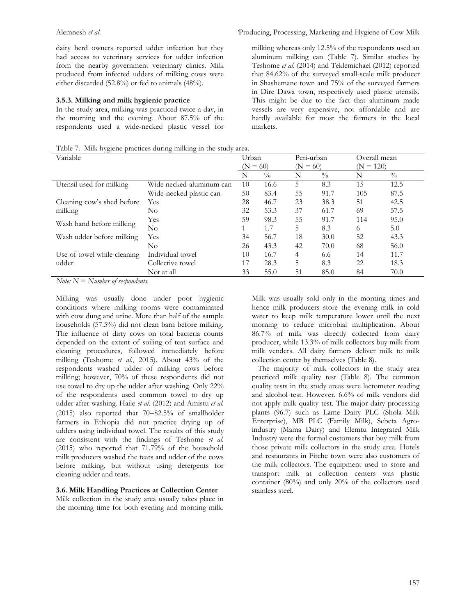dairy herd owners reported udder infection but they had access to veterinary services for udder infection from the nearby government veterinary clinics. Milk produced from infected udders of milking cows were either discarded (52.8%) or fed to animals (48%).

#### **3.5.3. Milking and milk hygienic practice**

In the study area, milking was practiced twice a day, in the morning and the evening. About 87.5% of the respondents used a wide-necked plastic vessel for

Table 7. Milk hygiene practices during milking in the study area.

milking whereas only 12.5% of the respondents used an aluminum milking can (Table 7). Similar studies by Teshome *et al*. (2014) and Teklemichael (2012) reported that 84.62% of the surveyed small-scale milk producer in Shashemane town and 75% of the surveyed farmers in Dire Dawa town, respectively used plastic utensils. This might be due to the fact that aluminum made vessels are very expensive, not affordable and are hardly available for most the farmers in the local markets.

| Variable                    |                          |    | Urban         |            | Peri-urban    |     | Overall mean  |
|-----------------------------|--------------------------|----|---------------|------------|---------------|-----|---------------|
|                             |                          |    | $= 60$        | $(N = 60)$ | $= 120$<br>(N |     |               |
|                             |                          | N  | $\frac{0}{0}$ | N          | $\frac{0}{0}$ | N   | $\frac{0}{0}$ |
| Utensil used for milking    | Wide necked-aluminum can | 10 | 16.6          | 5          | 8.3           | 15  | 12.5          |
|                             | Wide-necked plastic can  | 50 | 83.4          | 55         | 91.7          | 105 | 87.5          |
| Cleaning cow's shed before  | <b>Yes</b>               | 28 | 46.7          | 23         | 38.3          | 51  | 42.5          |
| milking                     | No.                      | 32 | 53.3          | 37         | 61.7          | 69  | 57.5          |
|                             | Yes                      | 59 | 98.3          | 55         | 91.7          | 114 | 95.0          |
| Wash hand before milking    | $\rm No$                 |    | 1.7           | 5          | 8.3           | 6   | 5.0           |
| Wash udder before milking   | Yes                      | 34 | 56.7          | 18         | 30.0          | 52  | 43.3          |
|                             | No                       | 26 | 43.3          | 42         | 70.0          | 68  | 56.0          |
| Use of towel while cleaning | Individual towel         | 10 | 16.7          | 4          | 6.6           | 14  | 11.7          |
| udder                       | Collective towel         | 17 | 28.3          | 5          | 8.3           | 22  | 18.3          |
|                             | Not at all               | 33 | 55.0          | 51         | 85.0          | 84  | 70.0          |

*Note: N = Number of respondents.* 

Milking was usually done under poor hygienic conditions where milking rooms were contaminated with cow dung and urine. More than half of the sample households (57.5%) did not clean barn before milking. The influence of dirty cows on total bacteria counts depended on the extent of soiling of teat surface and cleaning procedures, followed immediately before milking (Teshome *et al*., 2015). About 43% of the respondents washed udder of milking cows before milking; however, 70% of these respondents did not use towel to dry up the udder after washing. Only 22% of the respondents used common towel to dry up udder after washing. Haile *et al.* (2012) and Amistu *et al.* (2015) also reported that 70−82.5% of smallholder farmers in Ethiopia did not practice drying up of udders using individual towel. The results of this study are consistent with the findings of Teshome *et al.*  (2015) who reported that 71.79% of the household milk producers washed the teats and udder of the cows before milking, but without using detergents for cleaning udder and teats.

#### **3.6. Milk Handling Practices at Collection Center**

Milk collection in the study area usually takes place in the morning time for both evening and morning milk. Milk was usually sold only in the morning times and hence milk producers store the evening milk in cold water to keep milk temperature lower until the next morning to reduce microbial multiplication. About 86.7% of milk was directly collected from dairy producer, while 13.3% of milk collectors buy milk from milk venders. All dairy farmers deliver milk to milk collection center by themselves (Table 8).

 The majority of milk collectors in the study area practiced milk quality test (Table 8). The common quality tests in the study areas were lactometer reading and alcohol test. However, 6.6% of milk vendors did not apply milk quality test. The major dairy processing plants (96.7) such as Lame Dairy PLC (Shola Milk Enterprise), MB PLC (Family Milk), Sebeta Agroindustry (Mama Dairy) and Elemtu Integrated Milk Industry were the formal customers that buy milk from those private milk collectors in the study area. Hotels and restaurants in Fitche town were also customers of the milk collectors. The equipment used to store and transport milk at collection centers was plastic container (80%) and only 20% of the collectors used stainless steel.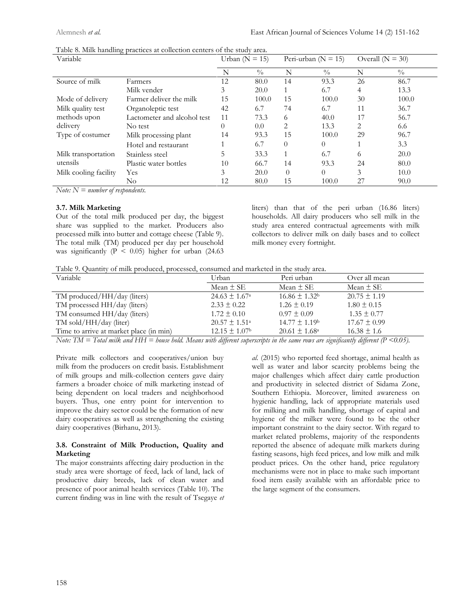| Variable              |                              | Urban ( $N = 15$ ) |               | Peri-urban ( $N = 15$ ) |               | Overall ( $N = 30$ ) |               |
|-----------------------|------------------------------|--------------------|---------------|-------------------------|---------------|----------------------|---------------|
|                       |                              | N                  | $\frac{0}{0}$ | N                       | $\frac{0}{0}$ | N                    | $\frac{0}{0}$ |
| Source of milk        | Farmers                      | 12                 | 80.0          | 14                      | 93.3          | 26                   | 86.7          |
|                       | Milk vender                  | 3                  | 20.0          |                         | 6.7           | 4                    | 13.3          |
| Mode of delivery      | Farmer deliver the milk      | 15                 | 100.0         | 15                      | 100.0         | 30                   | 100.0         |
| Milk quality test     | Organoleptic test            | 42                 | 6.7           | 74                      | 6.7           | 11                   | 36.7          |
| methods upon          | Lactometer and alcohol test. | 11                 | 73.3          | 6                       | 40.0          | 17                   | 56.7          |
| delivery              | No test                      | $\theta$           | 0.0           | 2                       | 13.3          | 2                    | 6.6           |
| Type of costumer      | Milk processing plant        | 14                 | 93.3          | 15                      | 100.0         | 29                   | 96.7          |
|                       | Hotel and restaurant         |                    | 6.7           | $\theta$                | $\left($      |                      | 3.3           |
| Milk transportation   | Stainless steel              | 5                  | 33.3          | $\mathbf{1}$            | 6.7           | 6                    | 20.0          |
| utensils              | Plastic water bottles        | 10                 | 66.7          | 14                      | 93.3          | 24                   | 80.0          |
| Milk cooling facility | Yes                          | 3                  | 20.0          | $\Omega$                | $\left($      | 3                    | 10.0          |
|                       | No                           | 12                 | 80.0          | 15                      | 100.0         | 27                   | 90.0          |

Table 8. Milk handling practices at collection centers of the study area.

*Note: N = number of respondents.* 

## **3.7. Milk Marketing**

Out of the total milk produced per day, the biggest share was supplied to the market. Producers also processed milk into butter and cottage cheese (Table 9). The total milk (TM) produced per day per household was significantly ( $P < 0.05$ ) higher for urban (24.63) liters) than that of the peri urban (16.86 liters) households. All dairy producers who sell milk in the study area entered contractual agreements with milk collectors to deliver milk on daily bases and to collect milk money every fortnight.

Table 9. Quantity of milk produced, processed, consumed and marketed in the study area.

| Variable                                | Urban                         | Peri urban                    | Over all mean    |
|-----------------------------------------|-------------------------------|-------------------------------|------------------|
|                                         | Mean $\pm$ SE                 | Mean $\pm$ SE                 | Mean $\pm$ SE    |
| TM produced/HH/day (liters)             | $24.63 \pm 1.67^{\circ}$      | $16.86 \pm 1.32$              | $20.75 \pm 1.19$ |
| TM processed HH/day (liters)            | $2.33 \pm 0.22$               | $1.26 \pm 0.19$               | $1.80 \pm 0.15$  |
| TM consumed HH/day (liters)             | $1.72 \pm 0.10$               | $0.97 \pm 0.09$               | $1.35 \pm 0.77$  |
| TM sold/HH/day (liter)                  | $20.57 \pm 1.51^{\circ}$      | $14.77 \pm 1.19$ <sup>b</sup> | $17.67 \pm 0.99$ |
| Time to arrive at market place (in min) | $12.15 \pm 1.07$ <sup>b</sup> | $20.61 \pm 1.68^{\circ}$      | $16.38 \pm 1.6$  |
|                                         |                               |                               |                  |

*Note: TM = Total milk and HH = house hold. Means with different superscripts in the same rows are significantly different (P <0.05).*

Private milk collectors and cooperatives/union buy milk from the producers on credit basis. Establishment of milk groups and milk-collection centers gave dairy farmers a broader choice of milk marketing instead of being dependent on local traders and neighborhood buyers. Thus, one entry point for intervention to improve the dairy sector could be the formation of new dairy cooperatives as well as strengthening the existing dairy cooperatives (Birhanu, 2013).

#### **3.8. Constraint of Milk Production, Quality and Marketing**

The major constraints affecting dairy production in the study area were shortage of feed, lack of land, lack of productive dairy breeds, lack of clean water and presence of poor animal health services (Table 10). The current finding was in line with the result of Tsegaye *et*  *al.* (2015) who reported feed shortage, animal health as well as water and labor scarcity problems being the major challenges which affect dairy cattle production and productivity in selected district of Sidama Zone, Southern Ethiopia. Moreover, limited awareness on hygienic handling, lack of appropriate materials used for milking and milk handling, shortage of capital and hygiene of the milker were found to be the other important constraint to the dairy sector. With regard to market related problems, majority of the respondents reported the absence of adequate milk markets during fasting seasons, high feed prices, and low milk and milk product prices. On the other hand, price regulatory mechanisms were not in place to make such important food item easily available with an affordable price to the large segment of the consumers.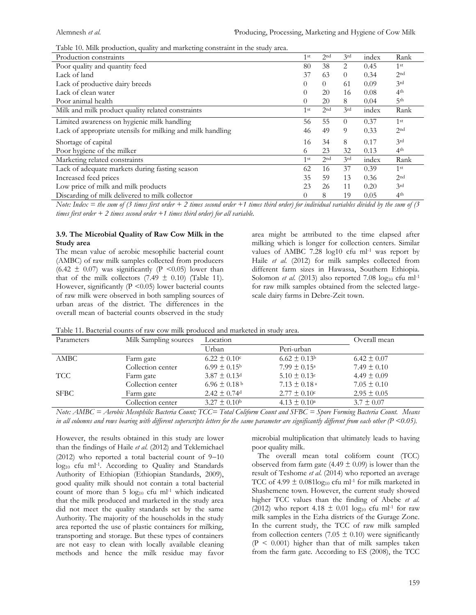Table 10. Milk production, quality and marketing constraint in the study area.

| Production constraints                                     | 1 <sup>st</sup> | 2 <sup>nd</sup> | 3 <sup>rd</sup> | index | Rank            |
|------------------------------------------------------------|-----------------|-----------------|-----------------|-------|-----------------|
| Poor quality and quantity feed                             | 80              | 38              | 2               | 0.45  | 1 <sup>st</sup> |
| Lack of land                                               | 37              | 63              | $\theta$        | 0.34  | 2 <sub>nd</sub> |
| Lack of productive dairy breeds                            | $\Omega$        | $\Omega$        | -61             | 0.09  | 3rd             |
| Lack of clean water                                        | $\theta$        | 20              | 16              | 0.08  | 4 <sup>th</sup> |
| Poor animal health                                         | $\theta$        | 20              | 8               | 0.04  | 5 <sup>th</sup> |
| Milk and milk product quality related constraints          | 1 <sup>st</sup> | 2 <sup>nd</sup> | 3rd             | index | Rank            |
| Limited awareness on hygienic milk handling                | 56              | 55              | $\theta$        | 0.37  | 1 <sup>st</sup> |
| Lack of appropriate utensils for milking and milk handling | 46              | 49              | 9               | 0.33  | 2 <sub>nd</sub> |
| Shortage of capital                                        | 16              | 34              | 8               | 0.17  | 3rd             |
| Poor hygiene of the milker                                 | 6               | 23              | 32              | 0.13  | 4th             |
| Marketing related constraints                              | 1 <sup>st</sup> | 2 <sub>nd</sub> | 3rd             | index | Rank            |
| Lack of adequate markets during fasting season             | 62              | 16              | 37              | 0.39  | 1 <sup>st</sup> |
| Increased feed prices                                      | 35              | 59              | 13              | 0.36  | 2 <sub>nd</sub> |
| Low price of milk and milk products                        | 23              | 26              | 11              | 0.20  | 3rd             |
| Discarding of milk delivered to milk collector             | $\theta$        | 8               | 19              | 0.05  | 4 <sup>th</sup> |

*Note: Index = the sum of (3 times first order + 2 times second order +1 times third order) for individual variables divided by the sum of (3 times first order + 2 times second order +1 times third order) for all variable.* 

#### **3.9. The Microbial Quality of Raw Cow Milk in the Study area**

The mean value of aerobic mesophilic bacterial count (AMBC) of raw milk samples collected from producers  $(6.42 \pm 0.07)$  was significantly (P <0.05) lower than that of the milk collectors  $(7.49 \pm 0.10)$  (Table 11). However, significantly  $(P \le 0.05)$  lower bacterial counts of raw milk were observed in both sampling sources of urban areas of the district. The differences in the overall mean of bacterial counts observed in the study area might be attributed to the time elapsed after milking which is longer for collection centers. Similar values of AMBC 7.28  $log10$  cfu ml<sup>-1</sup> was report by Haile *et al.* (2012) for milk samples collected from different farm sizes in Hawassa, Southern Ethiopia. Solomon *et al.* (2013) also reported 7.08  $log_{10}$  cfu ml<sup>-1</sup> for raw milk samples obtained from the selected largescale dairy farms in Debre-Zeit town.

| Parameters  | Milk Sampling sources | Location                     | Overall mean                 |                 |
|-------------|-----------------------|------------------------------|------------------------------|-----------------|
|             |                       | Urban                        | Peri-urban                   |                 |
| AMBC        | Farm gate             | $6.22 \pm 0.10$ c            | $6.62 \pm 0.13$ <sup>b</sup> | $6.42 \pm 0.07$ |
|             | Collection center     | $6.99 \pm 0.15^{\circ}$      | $7.99 \pm 0.15^{\circ}$      | $7.49 \pm 0.10$ |
| <b>TCC</b>  | Farm gate             | $3.87 \pm 0.13$ d            | $5.10 \pm 0.13$ c            | $4.49 \pm 0.09$ |
|             | Collection center     | $6.96 \pm 0.18^{\mathrm{b}}$ | $7.13 \pm 0.18$ <sup>a</sup> | $7.05 \pm 0.10$ |
| <b>SFBC</b> | Farm gate             | $2.42 \pm 0.74$ <sup>d</sup> | $2.77 \pm 0.10$ c            | $2.95 \pm 0.05$ |
|             | Collection center     | $3.27 \pm 0.10^{\rm b}$      | $4.13 \pm 0.10^a$            | $3.7 \pm 0.07$  |

Table 11. Bacterial counts of raw cow milk produced and marketed in study area.

*Note: AMBC = Aerobic Mesophilic Bacteria Count; TCC= Total Coliform Count and SFBC = Spore Forming Bacteria Count. Means*  in all columns and rows bearing with different superscripts letters for the same parameter are significantly different from each other (P <0.05).

However, the results obtained in this study are lower than the findings of Haile *et al.* (2012) and Teklemichael (2012) who reported a total bacterial count of 9−10 log<sub>10</sub> cfu ml<sup>-1</sup>. According to Quality and Standards Authority of Ethiopian (Ethiopian Standards, 2009), good quality milk should not contain a total bacterial count of more than  $5 \log_{10}$  cfu ml<sup>-1</sup> which indicated that the milk produced and marketed in the study area did not meet the quality standards set by the same Authority. The majority of the households in the study area reported the use of plastic containers for milking, transporting and storage. But these types of containers are not easy to clean with locally available cleaning methods and hence the milk residue may favor

microbial multiplication that ultimately leads to having poor quality milk.

 The overall mean total coliform count (TCC) observed from farm gate (4.49  $\pm$  0.09) is lower than the result of Teshome *et al*. (2014) who reported an average TCC of 4.99  $\pm$  0.081log<sub>10</sub> cfu ml<sup>-1</sup> for milk marketed in Shashemene town. However, the current study showed higher TCC values than the finding of Abebe *et al.*  (2012) who report 4.18  $\pm$  0.01 log<sub>10</sub> cfu ml<sup>-1</sup> for raw milk samples in the Ezha districts of the Gurage Zone. In the current study, the TCC of raw milk sampled from collection centers (7.05  $\pm$  0.10) were significantly  $(P < 0.001)$  higher than that of milk samples taken from the farm gate. According to ES (2008), the TCC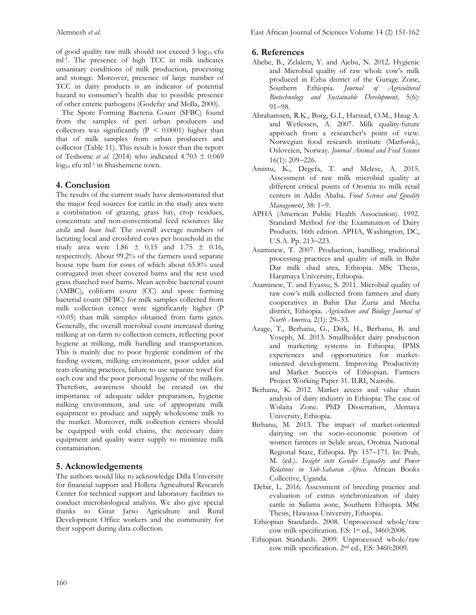of good quality raw milk should not exceed  $3 \log_{10}$  cfu ml-1 . The presence of high TCC in milk indicates unsanitary conditions of milk production, processing and storage. Moreover, presence of large number of TCC in dairy products is an indicator of potential hazard to consumer's health due to possible presence of other enteric pathogens (Godefay and Molla, 2000).

 The Spore Forming Bacteria Count (SFBC) found from the samples of peri urban producers and collectors was significantly ( $P < 0.0001$ ) higher than that of milk samples from urban producers and collector (Table 11). This result is lower than the report of Teshome *et al.* (2014) who indicated 4.703 ± 0.069 log<sub>10</sub> cfu ml<sup>-1</sup> in Shashemene town.

# **4. Conclusion**

The results of the current study have demonstrated that the major feed sources for cattle in the study area were a combination of grazing, grass hay, crop residues, concentrate and non-conventional feed resources like *atella* and *bean hull.* The overall average numbers of lactating local and crossbred cows per household in the study area were  $1.86 \pm 0.15$  and  $1.75 \pm 0.16$ , respectively. About 99.2% of the farmers used separate house type barn for cows of which about 65.8% used corrugated iron sheet covered barns and the rest used grass thatched roof barns. Mean aerobic bacterial count (AMBC), coliform count (CC) and spore forming bacterial count (SFBC) for milk samples collected from milk collection center were significantly higher (P <0.05) than milk samples obtained from farm gates. Generally, the overall microbial count increased during milking at on-farm to collection centers, reflecting poor hygiene at milking, milk handling and transportation. This is mainly due to poor hygienic condition of the feeding system, milking environment, poor udder and teats cleaning practices, failure to use separate towel for each cow and the poor personal hygiene of the milkers. Therefore, awareness should be created on the importance of adequate udder preparation, hygienic milking environment, and use of appropriate milk equipment to produce and supply wholesome milk to the market. Moreover, milk collection centers should be equipped with cold chains, the necessary dairy equipment and quality water supply to minimize milk contamination.

## **5. Acknowledgements**

The authors would like to acknowledge Dilla University for financial support and Holleta Agricultural Research Center for technical support and laboratory facilities to conduct microbiological analysis. We also give special thanks to Girar Jarso Agriculture and Rural Development Office workers and the community for their support during data collection.

## **6. References**

- Abebe, B., Zelalem, Y. and Ajebu, N. 2012. Hygienic and Microbial quality of raw whole cow's milk produced in Ezha district of the Gurage Zone, Southern Ethiopia. *Journal of Agricultural Biotechnology and Sustainable Development,* 5(6): 91−98.
- Abrahamsen, R.K., Borg, G.I., Harstad, O.M., Haug A. and Wetlessen, A. 2007. Milk quality-future approach from a researcher's point of view. Norwegian food research institute (Matforsk), Osloveien, Norway. *Journal Animal and Feed Science* 16(1): 209−226.
- Amistu, K., Degefa, T. and Melese, A. 2015. Assessment of raw milk microbial quality at different critical points of Oromia to milk retail centers in Addis Ababa. *Food Science and Quality Management*, 38: 1−9.
- APHA (American Public Health Association). 1992. Standard Method for the Examination of Dairy Products. 16th edition. APHA, Washington, DC, U.S.A. Pp. 213−223.
- Asaminew, T. 2007. Production, handling, traditional processing practices and quality of milk in Bahr Dar milk shed area, Ethiopia. MSc Thesis, Haramaya University, Ethiopia.
- Asaminew, T. and Eyassu, S. 2011. Microbial quality of raw cow's milk collected from farmers and dairy cooperatives in Bahir Dar Zuria and Mecha district, Ethiopia. *Agriculture and Biology Journal of North America,* 2(1): 29–33.
- Azage, T., Berhanu, G., Dirk, H., Berhanu, B. and Yoseph, M. 2013. Smallholder dairy production and marketing systems in Ethiopia: IPMS experiences and opportunities for marketoriented development. Improving Productivity and Market Success of Ethiopian. Farmers Project Working Paper 31. ILRI, Nairobi.
- Berhanu, K. 2012. Market access and value chain analysis of dairy industry in Ethiopia: The case of Wolaita Zone. PhD Dissertation, Alemaya University, Ethiopia.
- Birhanu, M. 2013. The impact of market-oriented dairying on the socio-economic position of women farmers in Selale areas, Oromia National Regional State, Ethiopia. Pp. 157−171. In: Prah, M. (ed.). *Insight into Gender Equality and Power Relations in Sub-Saharan Africa.* African Books Collective, Uganda.
- Debir, L. 2016. Assessment of breeding practice and evaluation of estrus synchronization of dairy cattle in Sidama zone, Southern Ethiopia. MSc Thesis, Hawassa University, Ethiopia.
- Ethiopian Standards. 2008. Unprocessed whole/raw cow milk specification. ES: 1st ed., 3460:2008.
- Ethiopian Standards. 2009. Unprocessed whole/raw cow milk specification. 2nd ed., ES: 3460:2009.